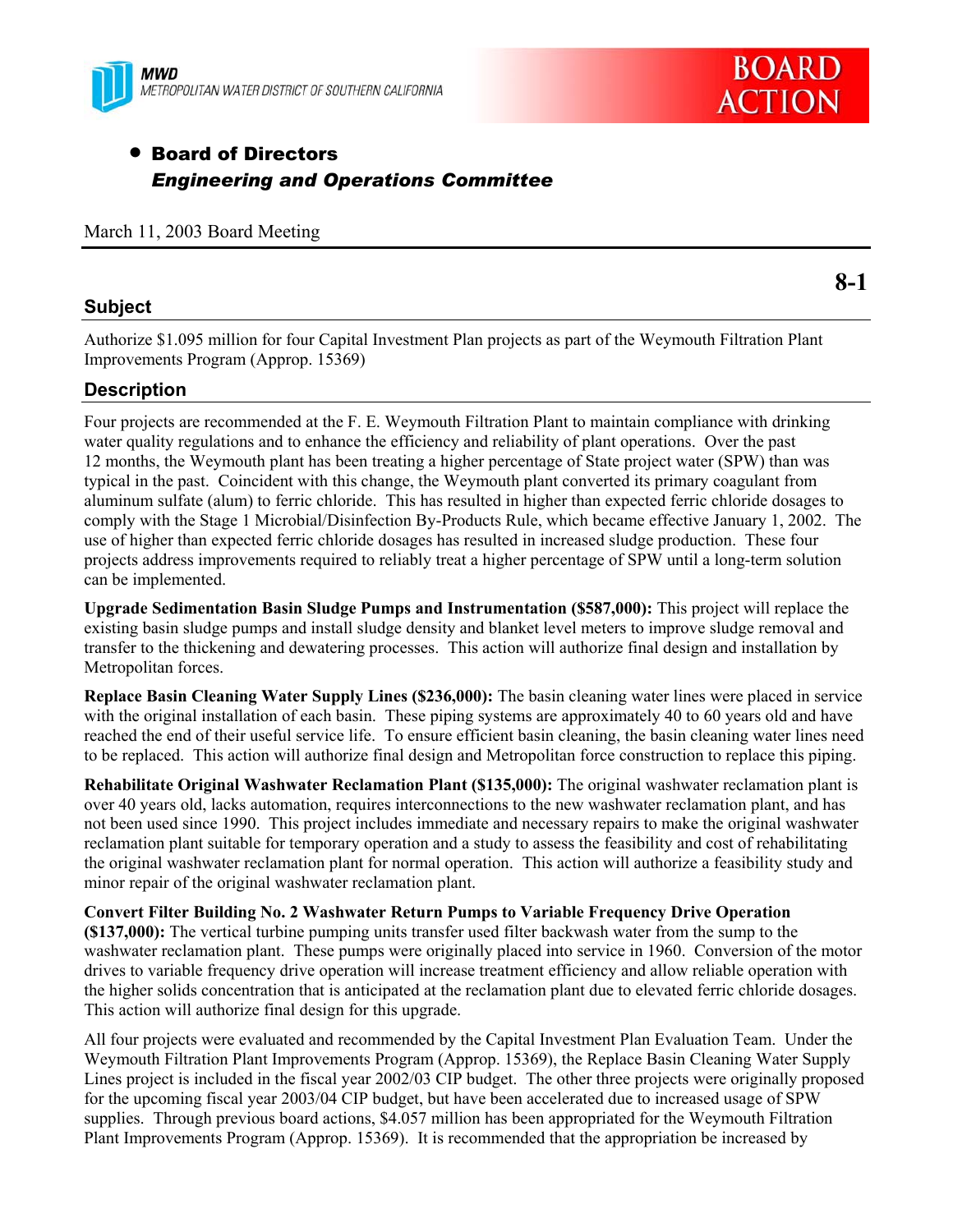



**8-1** 

# **• Board of Directors** *Engineering and Operations Committee*

March 11, 2003 Board Meeting

#### **Subject**

Authorize \$1.095 million for four Capital Investment Plan projects as part of the Weymouth Filtration Plant Improvements Program (Approp. 15369)

### **Description**

Four projects are recommended at the F. E. Weymouth Filtration Plant to maintain compliance with drinking water quality regulations and to enhance the efficiency and reliability of plant operations. Over the past 12 months, the Weymouth plant has been treating a higher percentage of State project water (SPW) than was typical in the past. Coincident with this change, the Weymouth plant converted its primary coagulant from aluminum sulfate (alum) to ferric chloride. This has resulted in higher than expected ferric chloride dosages to comply with the Stage 1 Microbial/Disinfection By-Products Rule, which became effective January 1, 2002. The use of higher than expected ferric chloride dosages has resulted in increased sludge production. These four projects address improvements required to reliably treat a higher percentage of SPW until a long-term solution can be implemented.

**Upgrade Sedimentation Basin Sludge Pumps and Instrumentation (\$587,000):** This project will replace the existing basin sludge pumps and install sludge density and blanket level meters to improve sludge removal and transfer to the thickening and dewatering processes. This action will authorize final design and installation by Metropolitan forces.

**Replace Basin Cleaning Water Supply Lines (\$236,000):** The basin cleaning water lines were placed in service with the original installation of each basin. These piping systems are approximately 40 to 60 years old and have reached the end of their useful service life. To ensure efficient basin cleaning, the basin cleaning water lines need to be replaced. This action will authorize final design and Metropolitan force construction to replace this piping.

**Rehabilitate Original Washwater Reclamation Plant (\$135,000):** The original washwater reclamation plant is over 40 years old, lacks automation, requires interconnections to the new washwater reclamation plant, and has not been used since 1990. This project includes immediate and necessary repairs to make the original washwater reclamation plant suitable for temporary operation and a study to assess the feasibility and cost of rehabilitating the original washwater reclamation plant for normal operation. This action will authorize a feasibility study and minor repair of the original washwater reclamation plant.

**Convert Filter Building No. 2 Washwater Return Pumps to Variable Frequency Drive Operation (\$137,000):** The vertical turbine pumping units transfer used filter backwash water from the sump to the washwater reclamation plant. These pumps were originally placed into service in 1960. Conversion of the motor drives to variable frequency drive operation will increase treatment efficiency and allow reliable operation with the higher solids concentration that is anticipated at the reclamation plant due to elevated ferric chloride dosages. This action will authorize final design for this upgrade.

All four projects were evaluated and recommended by the Capital Investment Plan Evaluation Team. Under the Weymouth Filtration Plant Improvements Program (Approp. 15369), the Replace Basin Cleaning Water Supply Lines project is included in the fiscal year 2002/03 CIP budget. The other three projects were originally proposed for the upcoming fiscal year 2003/04 CIP budget, but have been accelerated due to increased usage of SPW supplies. Through previous board actions, \$4.057 million has been appropriated for the Weymouth Filtration Plant Improvements Program (Approp. 15369). It is recommended that the appropriation be increased by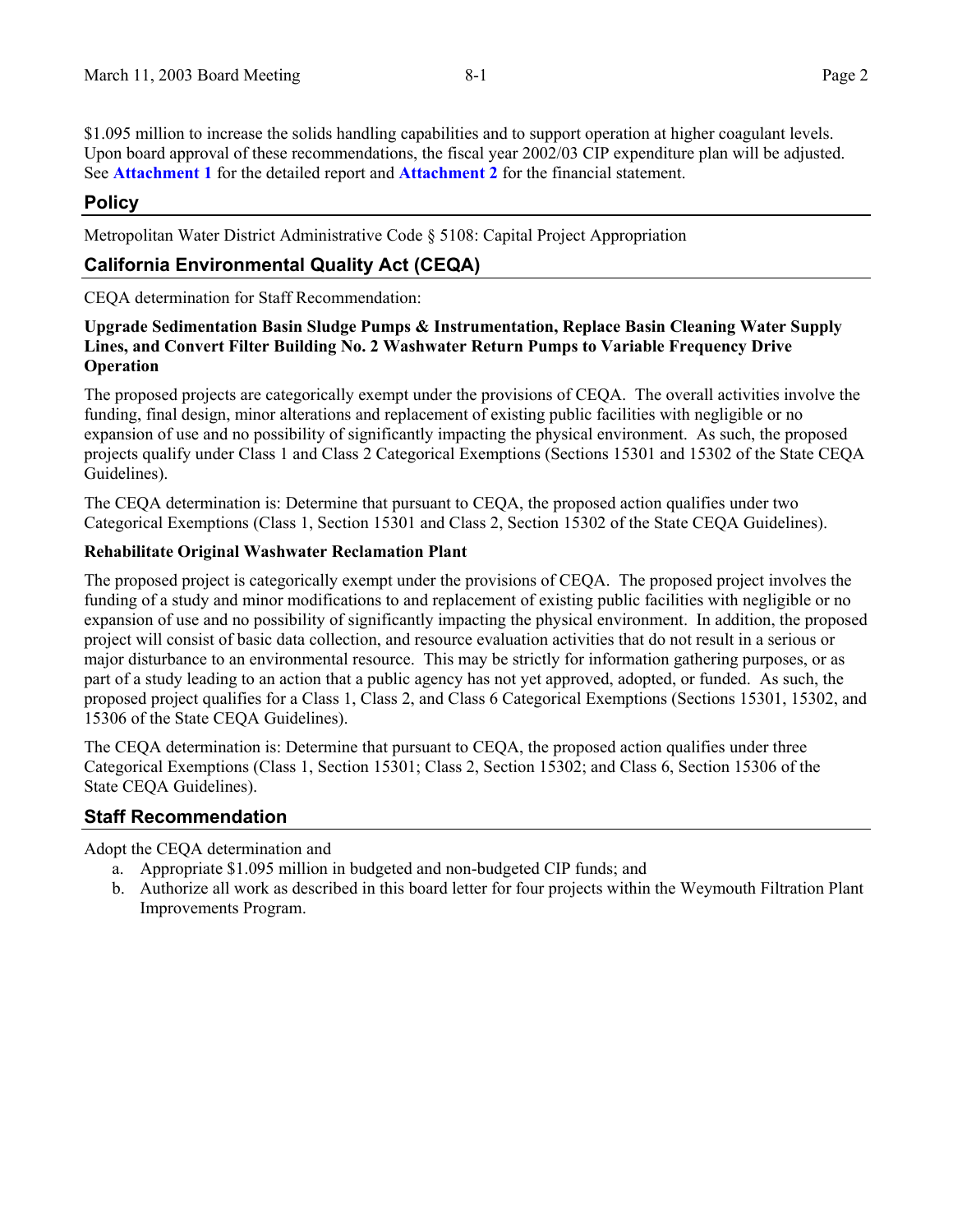\$1.095 million to increase the solids handling capabilities and to support operation at higher coagulant levels. Upon board approval of these recommendations, the fiscal year 2002/03 CIP expenditure plan will be adjusted. See **Attachment 1** for the detailed report and **Attachment 2** for the financial statement.

### **Policy**

Metropolitan Water District Administrative Code § 5108: Capital Project Appropriation

### **California Environmental Quality Act (CEQA)**

CEQA determination for Staff Recommendation:

#### **Upgrade Sedimentation Basin Sludge Pumps & Instrumentation, Replace Basin Cleaning Water Supply Lines, and Convert Filter Building No. 2 Washwater Return Pumps to Variable Frequency Drive Operation**

The proposed projects are categorically exempt under the provisions of CEQA. The overall activities involve the funding, final design, minor alterations and replacement of existing public facilities with negligible or no expansion of use and no possibility of significantly impacting the physical environment. As such, the proposed projects qualify under Class 1 and Class 2 Categorical Exemptions (Sections 15301 and 15302 of the State CEQA Guidelines).

The CEQA determination is: Determine that pursuant to CEQA, the proposed action qualifies under two Categorical Exemptions (Class 1, Section 15301 and Class 2, Section 15302 of the State CEQA Guidelines).

#### **Rehabilitate Original Washwater Reclamation Plant**

The proposed project is categorically exempt under the provisions of CEQA. The proposed project involves the funding of a study and minor modifications to and replacement of existing public facilities with negligible or no expansion of use and no possibility of significantly impacting the physical environment. In addition, the proposed project will consist of basic data collection, and resource evaluation activities that do not result in a serious or major disturbance to an environmental resource. This may be strictly for information gathering purposes, or as part of a study leading to an action that a public agency has not yet approved, adopted, or funded. As such, the proposed project qualifies for a Class 1, Class 2, and Class 6 Categorical Exemptions (Sections 15301, 15302, and 15306 of the State CEQA Guidelines).

The CEQA determination is: Determine that pursuant to CEQA, the proposed action qualifies under three Categorical Exemptions (Class 1, Section 15301; Class 2, Section 15302; and Class 6, Section 15306 of the State CEQA Guidelines).

### **Staff Recommendation**

Adopt the CEQA determination and

- a. Appropriate \$1.095 million in budgeted and non-budgeted CIP funds; and
- b. Authorize all work as described in this board letter for four projects within the Weymouth Filtration Plant Improvements Program.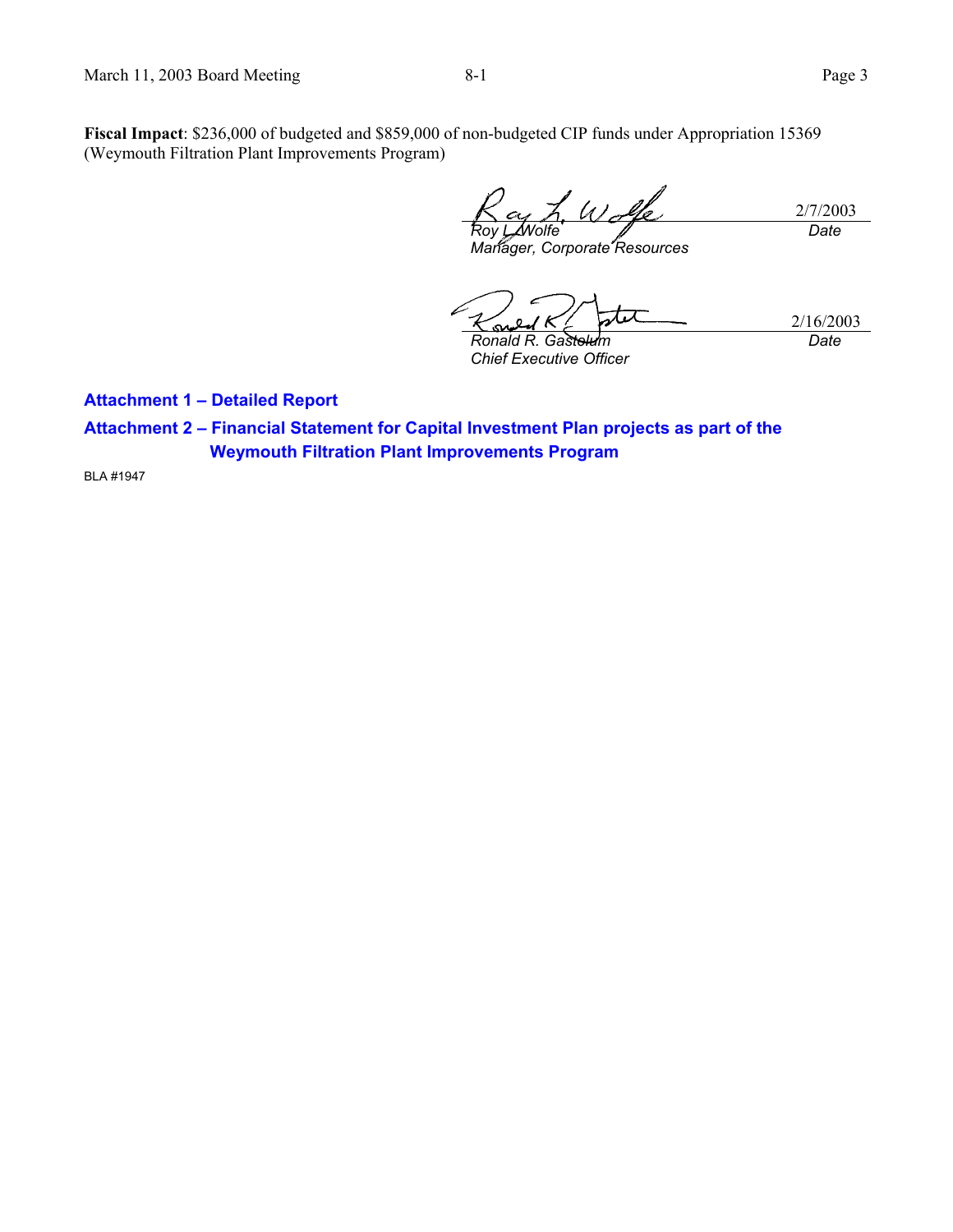**Fiscal Impact**: \$236,000 of budgeted and \$859,000 of non-budgeted CIP funds under Appropriation 15369 (Weymouth Filtration Plant Improvements Program)

2/7/2003 *Roy L. Wolfe Date*

*Manager, Corporate Resources* 

2/16/2003 *Ronald R. Gastelum* 

*Chief Executive Officer* 

*Date*

**Attachment 1 – Detailed Report** 

**Attachment 2 – Financial Statement for Capital Investment Plan projects as part of the Weymouth Filtration Plant Improvements Program** 

BLA #1947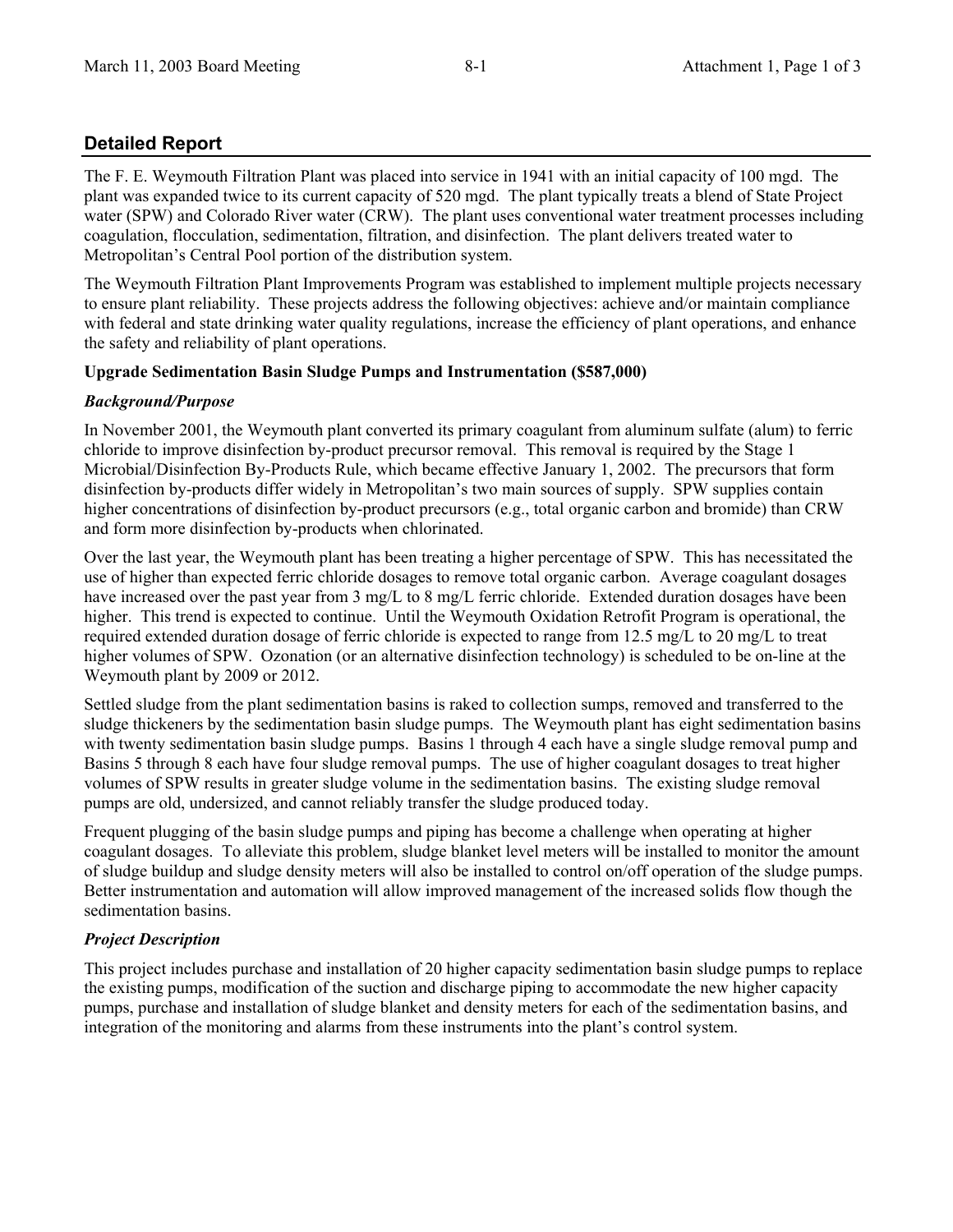### **Detailed Report**

The F. E. Weymouth Filtration Plant was placed into service in 1941 with an initial capacity of 100 mgd. The plant was expanded twice to its current capacity of 520 mgd. The plant typically treats a blend of State Project water (SPW) and Colorado River water (CRW). The plant uses conventional water treatment processes including coagulation, flocculation, sedimentation, filtration, and disinfection. The plant delivers treated water to Metropolitan's Central Pool portion of the distribution system.

The Weymouth Filtration Plant Improvements Program was established to implement multiple projects necessary to ensure plant reliability. These projects address the following objectives: achieve and/or maintain compliance with federal and state drinking water quality regulations, increase the efficiency of plant operations, and enhance the safety and reliability of plant operations.

#### **Upgrade Sedimentation Basin Sludge Pumps and Instrumentation (\$587,000)**

#### *Background/Purpose*

In November 2001, the Weymouth plant converted its primary coagulant from aluminum sulfate (alum) to ferric chloride to improve disinfection by-product precursor removal. This removal is required by the Stage 1 Microbial/Disinfection By-Products Rule, which became effective January 1, 2002. The precursors that form disinfection by-products differ widely in Metropolitan's two main sources of supply. SPW supplies contain higher concentrations of disinfection by-product precursors (e.g., total organic carbon and bromide) than CRW and form more disinfection by-products when chlorinated.

Over the last year, the Weymouth plant has been treating a higher percentage of SPW. This has necessitated the use of higher than expected ferric chloride dosages to remove total organic carbon. Average coagulant dosages have increased over the past year from 3 mg/L to 8 mg/L ferric chloride. Extended duration dosages have been higher. This trend is expected to continue. Until the Weymouth Oxidation Retrofit Program is operational, the required extended duration dosage of ferric chloride is expected to range from 12.5 mg/L to 20 mg/L to treat higher volumes of SPW. Ozonation (or an alternative disinfection technology) is scheduled to be on-line at the Weymouth plant by 2009 or 2012.

Settled sludge from the plant sedimentation basins is raked to collection sumps, removed and transferred to the sludge thickeners by the sedimentation basin sludge pumps. The Weymouth plant has eight sedimentation basins with twenty sedimentation basin sludge pumps. Basins 1 through 4 each have a single sludge removal pump and Basins 5 through 8 each have four sludge removal pumps. The use of higher coagulant dosages to treat higher volumes of SPW results in greater sludge volume in the sedimentation basins. The existing sludge removal pumps are old, undersized, and cannot reliably transfer the sludge produced today.

Frequent plugging of the basin sludge pumps and piping has become a challenge when operating at higher coagulant dosages. To alleviate this problem, sludge blanket level meters will be installed to monitor the amount of sludge buildup and sludge density meters will also be installed to control on/off operation of the sludge pumps. Better instrumentation and automation will allow improved management of the increased solids flow though the sedimentation basins.

#### *Project Description*

This project includes purchase and installation of 20 higher capacity sedimentation basin sludge pumps to replace the existing pumps, modification of the suction and discharge piping to accommodate the new higher capacity pumps, purchase and installation of sludge blanket and density meters for each of the sedimentation basins, and integration of the monitoring and alarms from these instruments into the plant's control system.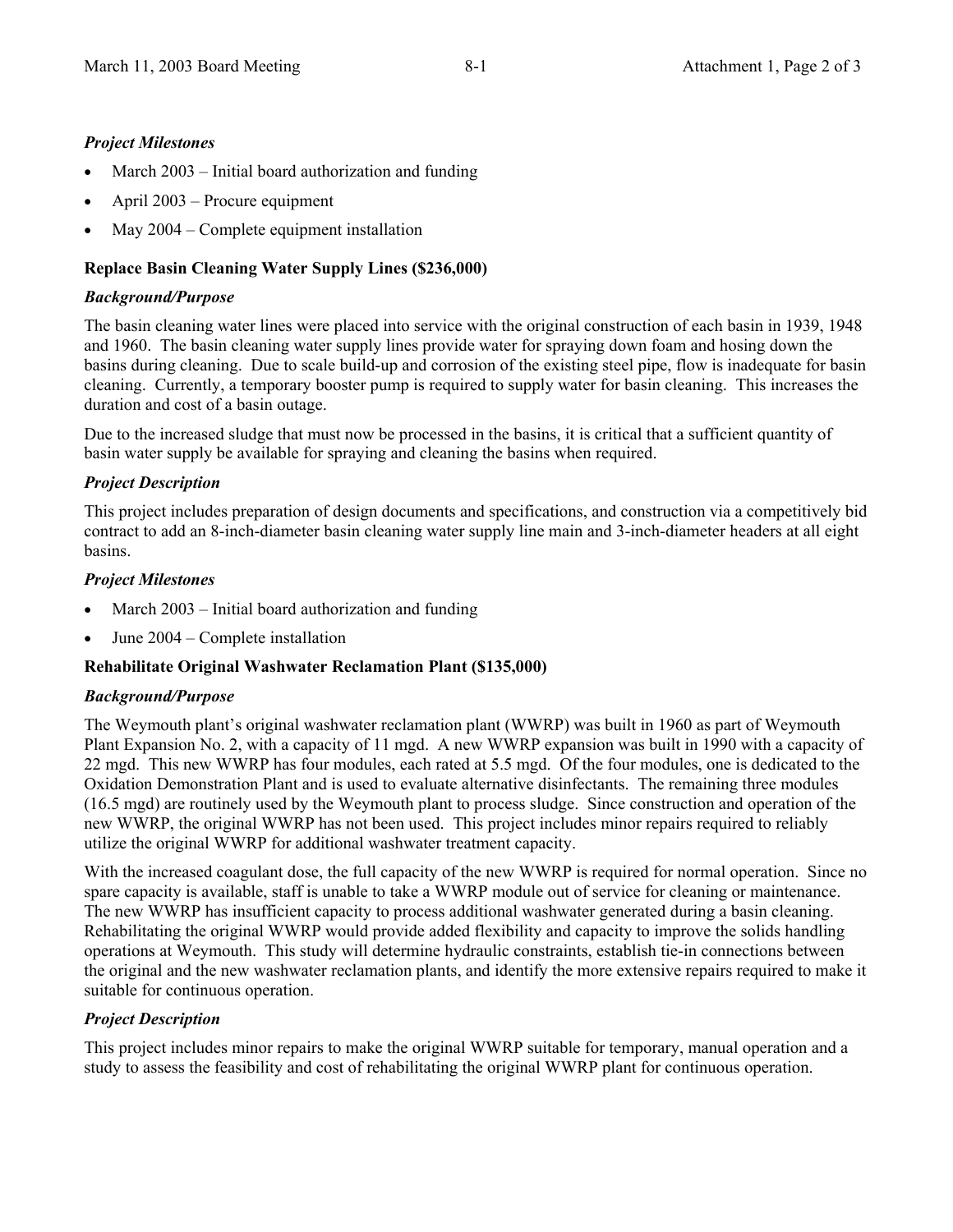#### *Project Milestones*

- March  $2003$  Initial board authorization and funding
- x April 2003 Procure equipment
- May  $2004$  Complete equipment installation

#### **Replace Basin Cleaning Water Supply Lines (\$236,000)**

#### *Background/Purpose*

The basin cleaning water lines were placed into service with the original construction of each basin in 1939, 1948 and 1960. The basin cleaning water supply lines provide water for spraying down foam and hosing down the basins during cleaning. Due to scale build-up and corrosion of the existing steel pipe, flow is inadequate for basin cleaning. Currently, a temporary booster pump is required to supply water for basin cleaning. This increases the duration and cost of a basin outage.

Due to the increased sludge that must now be processed in the basins, it is critical that a sufficient quantity of basin water supply be available for spraying and cleaning the basins when required.

#### *Project Description*

This project includes preparation of design documents and specifications, and construction via a competitively bid contract to add an 8-inch-diameter basin cleaning water supply line main and 3-inch-diameter headers at all eight basins.

#### *Project Milestones*

- March  $2003$  Initial board authorization and funding
- $\bullet$  June 2004 Complete installation

#### **Rehabilitate Original Washwater Reclamation Plant (\$135,000)**

#### *Background/Purpose*

The Weymouth plant's original washwater reclamation plant (WWRP) was built in 1960 as part of Weymouth Plant Expansion No. 2, with a capacity of 11 mgd. A new WWRP expansion was built in 1990 with a capacity of 22 mgd. This new WWRP has four modules, each rated at 5.5 mgd. Of the four modules, one is dedicated to the Oxidation Demonstration Plant and is used to evaluate alternative disinfectants. The remaining three modules (16.5 mgd) are routinely used by the Weymouth plant to process sludge. Since construction and operation of the new WWRP, the original WWRP has not been used. This project includes minor repairs required to reliably utilize the original WWRP for additional washwater treatment capacity.

With the increased coagulant dose, the full capacity of the new WWRP is required for normal operation. Since no spare capacity is available, staff is unable to take a WWRP module out of service for cleaning or maintenance. The new WWRP has insufficient capacity to process additional washwater generated during a basin cleaning. Rehabilitating the original WWRP would provide added flexibility and capacity to improve the solids handling operations at Weymouth. This study will determine hydraulic constraints, establish tie-in connections between the original and the new washwater reclamation plants, and identify the more extensive repairs required to make it suitable for continuous operation.

#### *Project Description*

This project includes minor repairs to make the original WWRP suitable for temporary, manual operation and a study to assess the feasibility and cost of rehabilitating the original WWRP plant for continuous operation.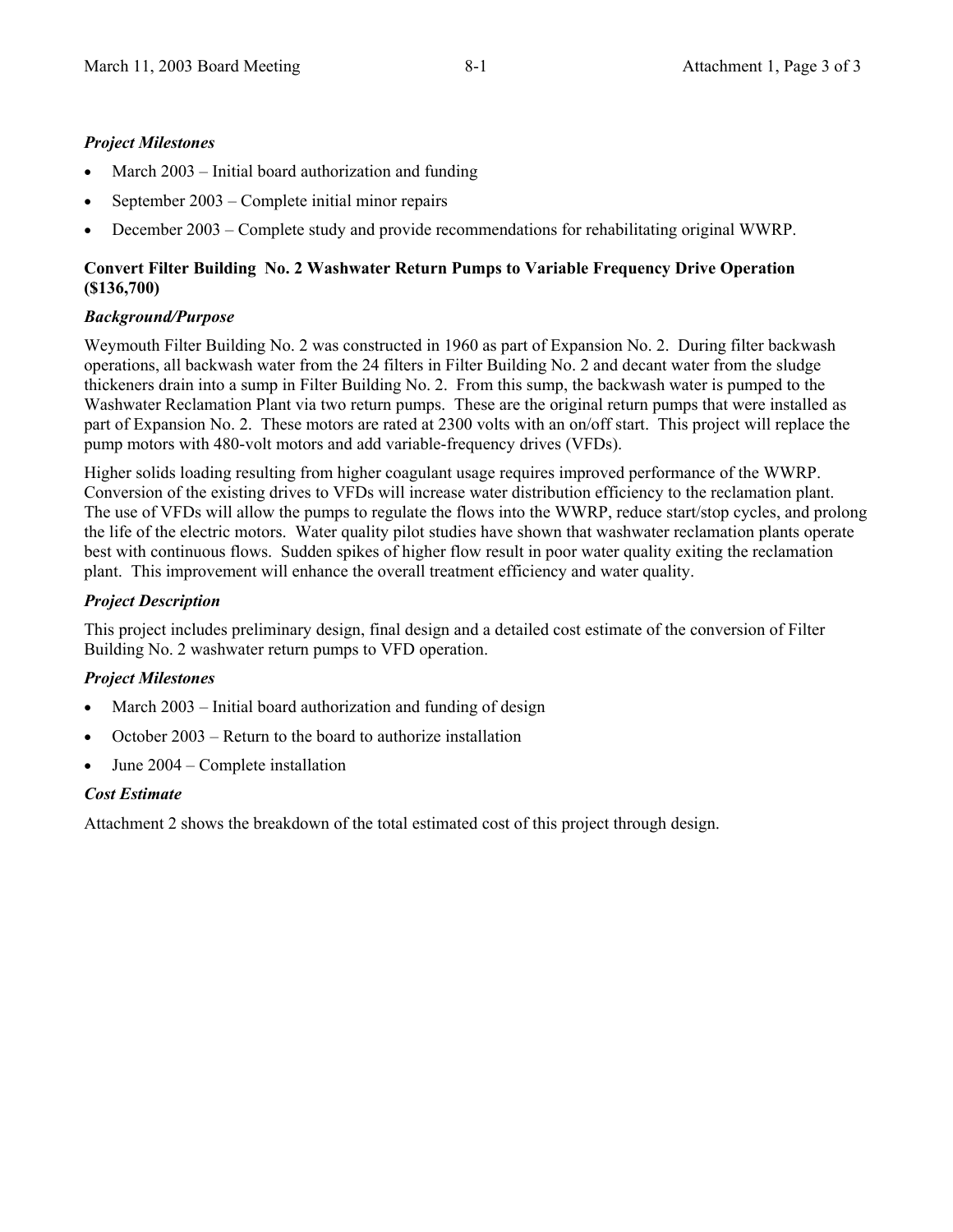#### *Project Milestones*

- March  $2003$  Initial board authorization and funding
- September 2003 Complete initial minor repairs
- December 2003 Complete study and provide recommendations for rehabilitating original WWRP.

#### **Convert Filter Building No. 2 Washwater Return Pumps to Variable Frequency Drive Operation (\$136,700)**

#### *Background/Purpose*

Weymouth Filter Building No. 2 was constructed in 1960 as part of Expansion No. 2. During filter backwash operations, all backwash water from the 24 filters in Filter Building No. 2 and decant water from the sludge thickeners drain into a sump in Filter Building No. 2. From this sump, the backwash water is pumped to the Washwater Reclamation Plant via two return pumps. These are the original return pumps that were installed as part of Expansion No. 2. These motors are rated at 2300 volts with an on/off start. This project will replace the pump motors with 480-volt motors and add variable-frequency drives (VFDs).

Higher solids loading resulting from higher coagulant usage requires improved performance of the WWRP. Conversion of the existing drives to VFDs will increase water distribution efficiency to the reclamation plant. The use of VFDs will allow the pumps to regulate the flows into the WWRP, reduce start/stop cycles, and prolong the life of the electric motors. Water quality pilot studies have shown that washwater reclamation plants operate best with continuous flows. Sudden spikes of higher flow result in poor water quality exiting the reclamation plant. This improvement will enhance the overall treatment efficiency and water quality.

#### *Project Description*

This project includes preliminary design, final design and a detailed cost estimate of the conversion of Filter Building No. 2 washwater return pumps to VFD operation.

#### *Project Milestones*

- March  $2003$  Initial board authorization and funding of design
- October 2003 Return to the board to authorize installation
- $\bullet$  June 2004 Complete installation

#### *Cost Estimate*

Attachment 2 shows the breakdown of the total estimated cost of this project through design.